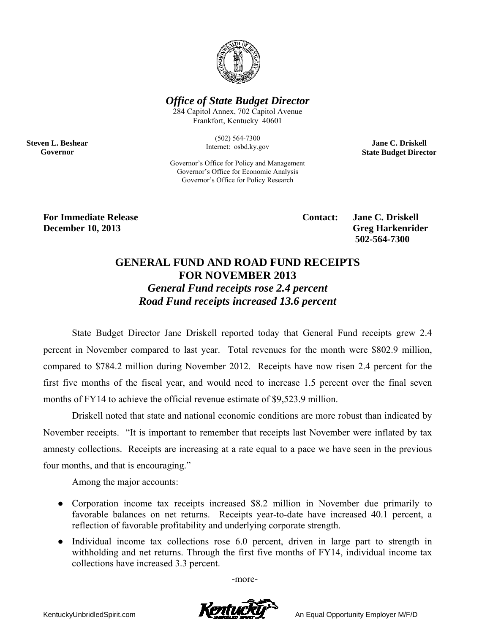

*Office of State Budget Director* 

284 Capitol Annex, 702 Capitol Avenue Frankfort, Kentucky 40601

> (502) 564-7300 Internet: osbd.ky.gov

Governor's Office for Policy and Management Governor's Office for Economic Analysis Governor's Office for Policy Research

**Jane C. Driskell State Budget Director** 

**For Immediate Release**  The Contact: Jane C. Driskell **Contact:** Jane C. Driskell **December 10, 2013** Greg Harkenrider **Greg Harkenrider Greg Harkenrider Greg Harkenrider** 

**Steven L. Beshear Governor** 

 **502-564-7300** 

## **GENERAL FUND AND ROAD FUND RECEIPTS FOR NOVEMBER 2013**  *General Fund receipts rose 2.4 percent Road Fund receipts increased 13.6 percent*

State Budget Director Jane Driskell reported today that General Fund receipts grew 2.4 percent in November compared to last year. Total revenues for the month were \$802.9 million, compared to \$784.2 million during November 2012. Receipts have now risen 2.4 percent for the first five months of the fiscal year, and would need to increase 1.5 percent over the final seven months of FY14 to achieve the official revenue estimate of \$9,523.9 million.

Driskell noted that state and national economic conditions are more robust than indicated by November receipts. "It is important to remember that receipts last November were inflated by tax amnesty collections. Receipts are increasing at a rate equal to a pace we have seen in the previous four months, and that is encouraging."

Among the major accounts:

- Corporation income tax receipts increased \$8.2 million in November due primarily to favorable balances on net returns. Receipts year-to-date have increased 40.1 percent, a reflection of favorable profitability and underlying corporate strength.
- Individual income tax collections rose 6.0 percent, driven in large part to strength in withholding and net returns. Through the first five months of FY14, individual income tax collections have increased 3.3 percent.

-more-

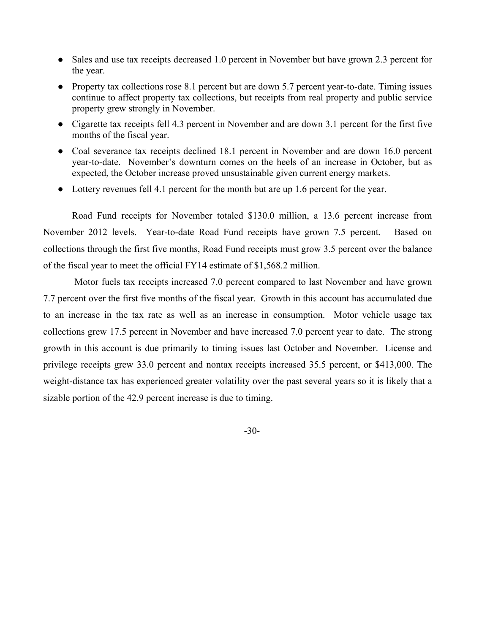- Sales and use tax receipts decreased 1.0 percent in November but have grown 2.3 percent for the year.
- Property tax collections rose 8.1 percent but are down 5.7 percent year-to-date. Timing issues continue to affect property tax collections, but receipts from real property and public service property grew strongly in November.
- Cigarette tax receipts fell 4.3 percent in November and are down 3.1 percent for the first five months of the fiscal year.
- Coal severance tax receipts declined 18.1 percent in November and are down 16.0 percent year-to-date. November's downturn comes on the heels of an increase in October, but as expected, the October increase proved unsustainable given current energy markets.
- Lottery revenues fell 4.1 percent for the month but are up 1.6 percent for the year.

Road Fund receipts for November totaled \$130.0 million, a 13.6 percent increase from November 2012 levels. Year-to-date Road Fund receipts have grown 7.5 percent. Based on collections through the first five months, Road Fund receipts must grow 3.5 percent over the balance of the fiscal year to meet the official FY14 estimate of \$1,568.2 million.

 Motor fuels tax receipts increased 7.0 percent compared to last November and have grown 7.7 percent over the first five months of the fiscal year. Growth in this account has accumulated due to an increase in the tax rate as well as an increase in consumption. Motor vehicle usage tax collections grew 17.5 percent in November and have increased 7.0 percent year to date. The strong growth in this account is due primarily to timing issues last October and November. License and privilege receipts grew 33.0 percent and nontax receipts increased 35.5 percent, or \$413,000. The weight-distance tax has experienced greater volatility over the past several years so it is likely that a sizable portion of the 42.9 percent increase is due to timing.

-30-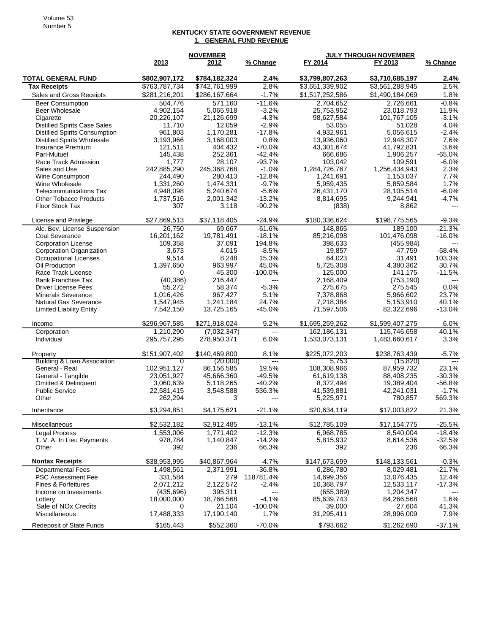## **KENTUCKY STATE GOVERNMENT REVENUE 1. GENERAL FUND REVENUE**

| 2013<br>2012<br>% Change<br>FY 2013<br>% Change<br><b>TOTAL GENERAL FUND</b><br>\$802,907,172<br>\$784,182,324<br>$2.4\%$<br>\$3,799,807,263<br>\$3,710,685,197<br>2.4%<br>2.5%<br>2.8%<br>\$763,787,734<br>\$742,761,999<br>\$3,651,339,902<br>\$3,561,288,945<br><b>Tax Receipts</b><br>$-1.7%$<br>\$1,517,252,586<br>1.8%<br>Sales and Gross Receipts<br>\$281,216,201<br>\$286,167,664<br>\$1,490,184,069<br>504,776<br>$-11.6%$<br>2,704,652<br>$-0.8%$<br>571,160<br>2,726,661<br><b>Beer Consumption</b><br>4,902,154<br>5,065,918<br>$-3.2%$<br>11.9%<br><b>Beer Wholesale</b><br>25,753,952<br>23,018,793<br>$-4.3%$<br>$-3.1%$<br>Cigarette<br>20,226,107<br>21,126,699<br>98,627,584<br>101,767,105<br>$-2.9%$<br>4.0%<br><b>Distilled Spirits Case Sales</b><br>11,710<br>12,059<br>53,055<br>51,028<br>$-17.8%$<br>$-2.4%$<br><b>Distilled Spirits Consumption</b><br>961,803<br>1,170,281<br>4,932,961<br>5,056,615<br><b>Distilled Spirits Wholesale</b><br>3,193,966<br>3,168,003<br>0.8%<br>13,936,060<br>12,948,307<br>7.6%<br>$-70.0%$<br>43,301,674<br>41,792,831<br>3.6%<br><b>Insurance Premium</b><br>121,511<br>404,432<br>145,438<br>252,361<br>$-42.4%$<br>666,686<br>1,906,257<br>$-65.0%$<br>Pari-Mutuel<br>1,777<br>28,107<br>$-93.7%$<br>103,042<br>109,591<br>$-6.0%$<br>Race Track Admission<br>2.3%<br>242,885,290<br>245,368,768<br>$-1.0%$<br>1,284,726,767<br>1,256,434,943<br>Sales and Use<br>244,490<br>280,413<br>$-12.8%$<br>1,241,691<br>7.7%<br><b>Wine Consumption</b><br>1,153,037<br>1,331,260<br>$-9.7%$<br>5,959,435<br>1.7%<br>Wine Wholesale<br>1,474,331<br>5,859,584<br>$-5.6%$<br>4,948,098<br>5,240,674<br>26,431,170<br>$-6.0%$<br>Telecommunications Tax<br>28,105,514<br>$-13.2%$<br>9,244,941<br>$-4.7%$<br><b>Other Tobacco Products</b><br>1,737,516<br>2,001,342<br>8,814,695<br>Floor Stock Tax<br>$-90.2%$<br>307<br>(838)<br>8,862<br>3,118<br>$---$<br>\$27,869,513<br>$-24.9%$<br>$-9.3%$<br>\$37,118,405<br>\$180,336,624<br>\$198,775,565<br>License and Privilege<br>26,750<br>$-61.6%$<br>148,865<br>$-21.3%$<br>Alc. Bev. License Suspension<br>69.667<br>189.100<br>16,201,162<br>19,781,491<br>$-18.1%$<br>85,216,098<br>101,476,098<br>$-16.0%$<br>Coal Severance<br>194.8%<br><b>Corporation License</b><br>109,358<br>37,091<br>398.633<br>(455, 984)<br>$-8.5%$<br>19,857<br>$-58.4%$<br><b>Corporation Organization</b><br>3,673<br>4,015<br>47,759<br>9,514<br>8,248<br>15.3%<br>64.023<br>31,491<br>103.3%<br>Occupational Licenses<br>1.397.650<br>963,997<br>45.0%<br>30.7%<br>Oil Production<br>5,725,308<br>4,380,362<br>45,300<br>$-100.0\%$<br>125,000<br>141,175<br>$-11.5%$<br>Race Track License<br>0<br>(40, 386)<br><b>Bank Franchise Tax</b><br>216,447<br>2,168,409<br>(753, 190)<br>$\overline{a}$<br>55,272<br>58,374<br>$-5.3%$<br>275,675<br>275,545<br>0.0%<br><b>Driver License Fees</b><br>1,016,426<br>5.1%<br>7,378,868<br>5,966,602<br>23.7%<br><b>Minerals Severance</b><br>967,427<br>24.7%<br>40.1%<br>1,547,945<br>1,241,184<br>7,218,384<br>5,153,910<br><b>Natural Gas Severance</b><br>7,542,150<br>$-45.0%$<br>$-13.0%$<br>13,725,165<br>71,597,506<br>82,322,696<br><b>Limited Liability Entity</b><br>\$296,967,585<br>9.2%<br>\$1,695,259,262<br>\$1,599,407,275<br>\$271,918,024<br>6.0%<br>Income<br>162,186,131<br>115,746,658<br>40.1%<br>Corporation<br>1,210,290<br>(7,032,347)<br>$\overline{a}$<br>3.3%<br>6.0%<br>1,533,073,131<br>1,483,660,617<br>Individual<br>295,757,295<br>278,950,371<br>8.1%<br>\$238,763,439<br>$-5.7%$<br>\$151,907,402<br>\$140,469,800<br>\$225,072,203<br>Property<br>Building & Loan Association<br>$\overline{a}$<br>0<br>(20,000)<br>5,753<br>(15, 820)<br>102,951,127<br>19.5%<br>108,308,966<br>23.1%<br>General - Real<br>86,156,585<br>87,959,732<br>23,051,927<br>45,666,360<br>$-49.5%$<br>61,619,138<br>$-30.3%$<br>General - Tangible<br>88,408,235<br>$-40.2%$<br>19,389,404<br>$-56.8%$<br>Omitted & Delinquent<br>3,060,639<br>5,118,265<br>8,372,494<br><b>Public Service</b><br>22,581,415<br>536.3%<br>41,539,881<br>42,241,031<br>$-1.7%$<br>3,548,588<br>569.3%<br>Other<br>262,294<br>3<br>5,225,971<br>780,857<br>---<br>\$3,294,851<br>\$4,175,621<br>$-21.1%$<br>\$20,634,119<br>\$17,003,822<br>21.3%<br>Inheritance<br>\$2,532,182<br>\$2,912,485<br>$-13.1%$<br>\$12,785,109<br>$-25.5%$<br>\$17,154,775<br>Miscellaneous<br>$-12.3%$<br><b>Legal Process</b><br>1,553,006<br>1,771,402<br>6,968,785<br>8,540,004<br>$-18.4%$<br>978,784<br>1,140,847<br>$-14.2%$<br>5,815,932<br>8,614,536<br>$-32.5%$<br>T. V. A. In Lieu Payments<br>66.3%<br>392<br>66.3%<br>Other<br>392<br>236<br>236<br><b>Nontax Receipts</b><br>\$38,953,995<br>\$40,867,964<br>$-4.7%$<br>\$147,673,699<br>\$148,133,561<br>$-0.3%$<br>$-21.7%$<br><b>Departmental Fees</b><br>$-36.8%$<br>6,286,780<br>8,029,481<br>1,498,561<br>2,371,991<br>118781.4%<br>14,699,356<br>13,076,435<br>12.4%<br><b>PSC Assessment Fee</b><br>331,584<br>279<br>2,122,572<br>12,533,117<br>$-17.3%$<br><b>Fines &amp; Forfeitures</b><br>$-2.4%$<br>10,368,797<br>2,071,212<br>(435, 696)<br>395,311<br>(655, 389)<br>1,204,347<br>Income on Investments<br>$\overline{a}$<br>$-4.1%$<br>18,766,568<br>85,639,743<br>84,266,568<br>1.6%<br>Lottery<br>18,000,000<br>Sale of NO <sub>x</sub> Credits<br>41.3%<br>21,104<br>$-100.0\%$<br>39,000<br>27,604<br>0<br>Miscellaneous<br>17,488,333<br>17,190,140<br>1.7%<br>31,295,411<br>28,996,009<br>7.9%<br><b>Redeposit of State Funds</b><br>\$165,443 |  | <b>NOVEMBER</b> |          | <b>JULY THROUGH NOVEMBER</b> |             |          |
|----------------------------------------------------------------------------------------------------------------------------------------------------------------------------------------------------------------------------------------------------------------------------------------------------------------------------------------------------------------------------------------------------------------------------------------------------------------------------------------------------------------------------------------------------------------------------------------------------------------------------------------------------------------------------------------------------------------------------------------------------------------------------------------------------------------------------------------------------------------------------------------------------------------------------------------------------------------------------------------------------------------------------------------------------------------------------------------------------------------------------------------------------------------------------------------------------------------------------------------------------------------------------------------------------------------------------------------------------------------------------------------------------------------------------------------------------------------------------------------------------------------------------------------------------------------------------------------------------------------------------------------------------------------------------------------------------------------------------------------------------------------------------------------------------------------------------------------------------------------------------------------------------------------------------------------------------------------------------------------------------------------------------------------------------------------------------------------------------------------------------------------------------------------------------------------------------------------------------------------------------------------------------------------------------------------------------------------------------------------------------------------------------------------------------------------------------------------------------------------------------------------------------------------------------------------------------------------------------------------------------------------------------------------------------------------------------------------------------------------------------------------------------------------------------------------------------------------------------------------------------------------------------------------------------------------------------------------------------------------------------------------------------------------------------------------------------------------------------------------------------------------------------------------------------------------------------------------------------------------------------------------------------------------------------------------------------------------------------------------------------------------------------------------------------------------------------------------------------------------------------------------------------------------------------------------------------------------------------------------------------------------------------------------------------------------------------------------------------------------------------------------------------------------------------------------------------------------------------------------------------------------------------------------------------------------------------------------------------------------------------------------------------------------------------------------------------------------------------------------------------------------------------------------------------------------------------------------------------------------------------------------------------------------------------------------------------------------------------------------------------------------------------------------------------------------------------------------------------------------------------------------------------------------------------------------------------------------------------------------------------------------------------------------------------------------------------------------------------------------------------------------------------------------------------------------------------------------------------------------------------------------------------------------------------------------------------------------------------------------------------------------------------------------------------------------------------------------------------------------------------------------------------------------------------------------------------------------------------------------------------------------------------------------------------------------------------------------------------------------------------------------------------------------------------------------------------------------------------------------------------------------------------------------------------|--|-----------------|----------|------------------------------|-------------|----------|
|                                                                                                                                                                                                                                                                                                                                                                                                                                                                                                                                                                                                                                                                                                                                                                                                                                                                                                                                                                                                                                                                                                                                                                                                                                                                                                                                                                                                                                                                                                                                                                                                                                                                                                                                                                                                                                                                                                                                                                                                                                                                                                                                                                                                                                                                                                                                                                                                                                                                                                                                                                                                                                                                                                                                                                                                                                                                                                                                                                                                                                                                                                                                                                                                                                                                                                                                                                                                                                                                                                                                                                                                                                                                                                                                                                                                                                                                                                                                                                                                                                                                                                                                                                                                                                                                                                                                                                                                                                                                                                                                                                                                                                                                                                                                                                                                                                                                                                                                                                                                                                                                                                                                                                                                                                                                                                                                                                                                                                                                                                                                                    |  |                 |          | FY 2014                      |             |          |
|                                                                                                                                                                                                                                                                                                                                                                                                                                                                                                                                                                                                                                                                                                                                                                                                                                                                                                                                                                                                                                                                                                                                                                                                                                                                                                                                                                                                                                                                                                                                                                                                                                                                                                                                                                                                                                                                                                                                                                                                                                                                                                                                                                                                                                                                                                                                                                                                                                                                                                                                                                                                                                                                                                                                                                                                                                                                                                                                                                                                                                                                                                                                                                                                                                                                                                                                                                                                                                                                                                                                                                                                                                                                                                                                                                                                                                                                                                                                                                                                                                                                                                                                                                                                                                                                                                                                                                                                                                                                                                                                                                                                                                                                                                                                                                                                                                                                                                                                                                                                                                                                                                                                                                                                                                                                                                                                                                                                                                                                                                                                                    |  |                 |          |                              |             |          |
|                                                                                                                                                                                                                                                                                                                                                                                                                                                                                                                                                                                                                                                                                                                                                                                                                                                                                                                                                                                                                                                                                                                                                                                                                                                                                                                                                                                                                                                                                                                                                                                                                                                                                                                                                                                                                                                                                                                                                                                                                                                                                                                                                                                                                                                                                                                                                                                                                                                                                                                                                                                                                                                                                                                                                                                                                                                                                                                                                                                                                                                                                                                                                                                                                                                                                                                                                                                                                                                                                                                                                                                                                                                                                                                                                                                                                                                                                                                                                                                                                                                                                                                                                                                                                                                                                                                                                                                                                                                                                                                                                                                                                                                                                                                                                                                                                                                                                                                                                                                                                                                                                                                                                                                                                                                                                                                                                                                                                                                                                                                                                    |  |                 |          |                              |             |          |
|                                                                                                                                                                                                                                                                                                                                                                                                                                                                                                                                                                                                                                                                                                                                                                                                                                                                                                                                                                                                                                                                                                                                                                                                                                                                                                                                                                                                                                                                                                                                                                                                                                                                                                                                                                                                                                                                                                                                                                                                                                                                                                                                                                                                                                                                                                                                                                                                                                                                                                                                                                                                                                                                                                                                                                                                                                                                                                                                                                                                                                                                                                                                                                                                                                                                                                                                                                                                                                                                                                                                                                                                                                                                                                                                                                                                                                                                                                                                                                                                                                                                                                                                                                                                                                                                                                                                                                                                                                                                                                                                                                                                                                                                                                                                                                                                                                                                                                                                                                                                                                                                                                                                                                                                                                                                                                                                                                                                                                                                                                                                                    |  |                 |          |                              |             |          |
|                                                                                                                                                                                                                                                                                                                                                                                                                                                                                                                                                                                                                                                                                                                                                                                                                                                                                                                                                                                                                                                                                                                                                                                                                                                                                                                                                                                                                                                                                                                                                                                                                                                                                                                                                                                                                                                                                                                                                                                                                                                                                                                                                                                                                                                                                                                                                                                                                                                                                                                                                                                                                                                                                                                                                                                                                                                                                                                                                                                                                                                                                                                                                                                                                                                                                                                                                                                                                                                                                                                                                                                                                                                                                                                                                                                                                                                                                                                                                                                                                                                                                                                                                                                                                                                                                                                                                                                                                                                                                                                                                                                                                                                                                                                                                                                                                                                                                                                                                                                                                                                                                                                                                                                                                                                                                                                                                                                                                                                                                                                                                    |  |                 |          |                              |             |          |
|                                                                                                                                                                                                                                                                                                                                                                                                                                                                                                                                                                                                                                                                                                                                                                                                                                                                                                                                                                                                                                                                                                                                                                                                                                                                                                                                                                                                                                                                                                                                                                                                                                                                                                                                                                                                                                                                                                                                                                                                                                                                                                                                                                                                                                                                                                                                                                                                                                                                                                                                                                                                                                                                                                                                                                                                                                                                                                                                                                                                                                                                                                                                                                                                                                                                                                                                                                                                                                                                                                                                                                                                                                                                                                                                                                                                                                                                                                                                                                                                                                                                                                                                                                                                                                                                                                                                                                                                                                                                                                                                                                                                                                                                                                                                                                                                                                                                                                                                                                                                                                                                                                                                                                                                                                                                                                                                                                                                                                                                                                                                                    |  |                 |          |                              |             |          |
|                                                                                                                                                                                                                                                                                                                                                                                                                                                                                                                                                                                                                                                                                                                                                                                                                                                                                                                                                                                                                                                                                                                                                                                                                                                                                                                                                                                                                                                                                                                                                                                                                                                                                                                                                                                                                                                                                                                                                                                                                                                                                                                                                                                                                                                                                                                                                                                                                                                                                                                                                                                                                                                                                                                                                                                                                                                                                                                                                                                                                                                                                                                                                                                                                                                                                                                                                                                                                                                                                                                                                                                                                                                                                                                                                                                                                                                                                                                                                                                                                                                                                                                                                                                                                                                                                                                                                                                                                                                                                                                                                                                                                                                                                                                                                                                                                                                                                                                                                                                                                                                                                                                                                                                                                                                                                                                                                                                                                                                                                                                                                    |  |                 |          |                              |             |          |
|                                                                                                                                                                                                                                                                                                                                                                                                                                                                                                                                                                                                                                                                                                                                                                                                                                                                                                                                                                                                                                                                                                                                                                                                                                                                                                                                                                                                                                                                                                                                                                                                                                                                                                                                                                                                                                                                                                                                                                                                                                                                                                                                                                                                                                                                                                                                                                                                                                                                                                                                                                                                                                                                                                                                                                                                                                                                                                                                                                                                                                                                                                                                                                                                                                                                                                                                                                                                                                                                                                                                                                                                                                                                                                                                                                                                                                                                                                                                                                                                                                                                                                                                                                                                                                                                                                                                                                                                                                                                                                                                                                                                                                                                                                                                                                                                                                                                                                                                                                                                                                                                                                                                                                                                                                                                                                                                                                                                                                                                                                                                                    |  |                 |          |                              |             |          |
|                                                                                                                                                                                                                                                                                                                                                                                                                                                                                                                                                                                                                                                                                                                                                                                                                                                                                                                                                                                                                                                                                                                                                                                                                                                                                                                                                                                                                                                                                                                                                                                                                                                                                                                                                                                                                                                                                                                                                                                                                                                                                                                                                                                                                                                                                                                                                                                                                                                                                                                                                                                                                                                                                                                                                                                                                                                                                                                                                                                                                                                                                                                                                                                                                                                                                                                                                                                                                                                                                                                                                                                                                                                                                                                                                                                                                                                                                                                                                                                                                                                                                                                                                                                                                                                                                                                                                                                                                                                                                                                                                                                                                                                                                                                                                                                                                                                                                                                                                                                                                                                                                                                                                                                                                                                                                                                                                                                                                                                                                                                                                    |  |                 |          |                              |             |          |
|                                                                                                                                                                                                                                                                                                                                                                                                                                                                                                                                                                                                                                                                                                                                                                                                                                                                                                                                                                                                                                                                                                                                                                                                                                                                                                                                                                                                                                                                                                                                                                                                                                                                                                                                                                                                                                                                                                                                                                                                                                                                                                                                                                                                                                                                                                                                                                                                                                                                                                                                                                                                                                                                                                                                                                                                                                                                                                                                                                                                                                                                                                                                                                                                                                                                                                                                                                                                                                                                                                                                                                                                                                                                                                                                                                                                                                                                                                                                                                                                                                                                                                                                                                                                                                                                                                                                                                                                                                                                                                                                                                                                                                                                                                                                                                                                                                                                                                                                                                                                                                                                                                                                                                                                                                                                                                                                                                                                                                                                                                                                                    |  |                 |          |                              |             |          |
|                                                                                                                                                                                                                                                                                                                                                                                                                                                                                                                                                                                                                                                                                                                                                                                                                                                                                                                                                                                                                                                                                                                                                                                                                                                                                                                                                                                                                                                                                                                                                                                                                                                                                                                                                                                                                                                                                                                                                                                                                                                                                                                                                                                                                                                                                                                                                                                                                                                                                                                                                                                                                                                                                                                                                                                                                                                                                                                                                                                                                                                                                                                                                                                                                                                                                                                                                                                                                                                                                                                                                                                                                                                                                                                                                                                                                                                                                                                                                                                                                                                                                                                                                                                                                                                                                                                                                                                                                                                                                                                                                                                                                                                                                                                                                                                                                                                                                                                                                                                                                                                                                                                                                                                                                                                                                                                                                                                                                                                                                                                                                    |  |                 |          |                              |             |          |
|                                                                                                                                                                                                                                                                                                                                                                                                                                                                                                                                                                                                                                                                                                                                                                                                                                                                                                                                                                                                                                                                                                                                                                                                                                                                                                                                                                                                                                                                                                                                                                                                                                                                                                                                                                                                                                                                                                                                                                                                                                                                                                                                                                                                                                                                                                                                                                                                                                                                                                                                                                                                                                                                                                                                                                                                                                                                                                                                                                                                                                                                                                                                                                                                                                                                                                                                                                                                                                                                                                                                                                                                                                                                                                                                                                                                                                                                                                                                                                                                                                                                                                                                                                                                                                                                                                                                                                                                                                                                                                                                                                                                                                                                                                                                                                                                                                                                                                                                                                                                                                                                                                                                                                                                                                                                                                                                                                                                                                                                                                                                                    |  |                 |          |                              |             |          |
|                                                                                                                                                                                                                                                                                                                                                                                                                                                                                                                                                                                                                                                                                                                                                                                                                                                                                                                                                                                                                                                                                                                                                                                                                                                                                                                                                                                                                                                                                                                                                                                                                                                                                                                                                                                                                                                                                                                                                                                                                                                                                                                                                                                                                                                                                                                                                                                                                                                                                                                                                                                                                                                                                                                                                                                                                                                                                                                                                                                                                                                                                                                                                                                                                                                                                                                                                                                                                                                                                                                                                                                                                                                                                                                                                                                                                                                                                                                                                                                                                                                                                                                                                                                                                                                                                                                                                                                                                                                                                                                                                                                                                                                                                                                                                                                                                                                                                                                                                                                                                                                                                                                                                                                                                                                                                                                                                                                                                                                                                                                                                    |  |                 |          |                              |             |          |
|                                                                                                                                                                                                                                                                                                                                                                                                                                                                                                                                                                                                                                                                                                                                                                                                                                                                                                                                                                                                                                                                                                                                                                                                                                                                                                                                                                                                                                                                                                                                                                                                                                                                                                                                                                                                                                                                                                                                                                                                                                                                                                                                                                                                                                                                                                                                                                                                                                                                                                                                                                                                                                                                                                                                                                                                                                                                                                                                                                                                                                                                                                                                                                                                                                                                                                                                                                                                                                                                                                                                                                                                                                                                                                                                                                                                                                                                                                                                                                                                                                                                                                                                                                                                                                                                                                                                                                                                                                                                                                                                                                                                                                                                                                                                                                                                                                                                                                                                                                                                                                                                                                                                                                                                                                                                                                                                                                                                                                                                                                                                                    |  |                 |          |                              |             |          |
|                                                                                                                                                                                                                                                                                                                                                                                                                                                                                                                                                                                                                                                                                                                                                                                                                                                                                                                                                                                                                                                                                                                                                                                                                                                                                                                                                                                                                                                                                                                                                                                                                                                                                                                                                                                                                                                                                                                                                                                                                                                                                                                                                                                                                                                                                                                                                                                                                                                                                                                                                                                                                                                                                                                                                                                                                                                                                                                                                                                                                                                                                                                                                                                                                                                                                                                                                                                                                                                                                                                                                                                                                                                                                                                                                                                                                                                                                                                                                                                                                                                                                                                                                                                                                                                                                                                                                                                                                                                                                                                                                                                                                                                                                                                                                                                                                                                                                                                                                                                                                                                                                                                                                                                                                                                                                                                                                                                                                                                                                                                                                    |  |                 |          |                              |             |          |
|                                                                                                                                                                                                                                                                                                                                                                                                                                                                                                                                                                                                                                                                                                                                                                                                                                                                                                                                                                                                                                                                                                                                                                                                                                                                                                                                                                                                                                                                                                                                                                                                                                                                                                                                                                                                                                                                                                                                                                                                                                                                                                                                                                                                                                                                                                                                                                                                                                                                                                                                                                                                                                                                                                                                                                                                                                                                                                                                                                                                                                                                                                                                                                                                                                                                                                                                                                                                                                                                                                                                                                                                                                                                                                                                                                                                                                                                                                                                                                                                                                                                                                                                                                                                                                                                                                                                                                                                                                                                                                                                                                                                                                                                                                                                                                                                                                                                                                                                                                                                                                                                                                                                                                                                                                                                                                                                                                                                                                                                                                                                                    |  |                 |          |                              |             |          |
|                                                                                                                                                                                                                                                                                                                                                                                                                                                                                                                                                                                                                                                                                                                                                                                                                                                                                                                                                                                                                                                                                                                                                                                                                                                                                                                                                                                                                                                                                                                                                                                                                                                                                                                                                                                                                                                                                                                                                                                                                                                                                                                                                                                                                                                                                                                                                                                                                                                                                                                                                                                                                                                                                                                                                                                                                                                                                                                                                                                                                                                                                                                                                                                                                                                                                                                                                                                                                                                                                                                                                                                                                                                                                                                                                                                                                                                                                                                                                                                                                                                                                                                                                                                                                                                                                                                                                                                                                                                                                                                                                                                                                                                                                                                                                                                                                                                                                                                                                                                                                                                                                                                                                                                                                                                                                                                                                                                                                                                                                                                                                    |  |                 |          |                              |             |          |
|                                                                                                                                                                                                                                                                                                                                                                                                                                                                                                                                                                                                                                                                                                                                                                                                                                                                                                                                                                                                                                                                                                                                                                                                                                                                                                                                                                                                                                                                                                                                                                                                                                                                                                                                                                                                                                                                                                                                                                                                                                                                                                                                                                                                                                                                                                                                                                                                                                                                                                                                                                                                                                                                                                                                                                                                                                                                                                                                                                                                                                                                                                                                                                                                                                                                                                                                                                                                                                                                                                                                                                                                                                                                                                                                                                                                                                                                                                                                                                                                                                                                                                                                                                                                                                                                                                                                                                                                                                                                                                                                                                                                                                                                                                                                                                                                                                                                                                                                                                                                                                                                                                                                                                                                                                                                                                                                                                                                                                                                                                                                                    |  |                 |          |                              |             |          |
|                                                                                                                                                                                                                                                                                                                                                                                                                                                                                                                                                                                                                                                                                                                                                                                                                                                                                                                                                                                                                                                                                                                                                                                                                                                                                                                                                                                                                                                                                                                                                                                                                                                                                                                                                                                                                                                                                                                                                                                                                                                                                                                                                                                                                                                                                                                                                                                                                                                                                                                                                                                                                                                                                                                                                                                                                                                                                                                                                                                                                                                                                                                                                                                                                                                                                                                                                                                                                                                                                                                                                                                                                                                                                                                                                                                                                                                                                                                                                                                                                                                                                                                                                                                                                                                                                                                                                                                                                                                                                                                                                                                                                                                                                                                                                                                                                                                                                                                                                                                                                                                                                                                                                                                                                                                                                                                                                                                                                                                                                                                                                    |  |                 |          |                              |             |          |
|                                                                                                                                                                                                                                                                                                                                                                                                                                                                                                                                                                                                                                                                                                                                                                                                                                                                                                                                                                                                                                                                                                                                                                                                                                                                                                                                                                                                                                                                                                                                                                                                                                                                                                                                                                                                                                                                                                                                                                                                                                                                                                                                                                                                                                                                                                                                                                                                                                                                                                                                                                                                                                                                                                                                                                                                                                                                                                                                                                                                                                                                                                                                                                                                                                                                                                                                                                                                                                                                                                                                                                                                                                                                                                                                                                                                                                                                                                                                                                                                                                                                                                                                                                                                                                                                                                                                                                                                                                                                                                                                                                                                                                                                                                                                                                                                                                                                                                                                                                                                                                                                                                                                                                                                                                                                                                                                                                                                                                                                                                                                                    |  |                 |          |                              |             |          |
|                                                                                                                                                                                                                                                                                                                                                                                                                                                                                                                                                                                                                                                                                                                                                                                                                                                                                                                                                                                                                                                                                                                                                                                                                                                                                                                                                                                                                                                                                                                                                                                                                                                                                                                                                                                                                                                                                                                                                                                                                                                                                                                                                                                                                                                                                                                                                                                                                                                                                                                                                                                                                                                                                                                                                                                                                                                                                                                                                                                                                                                                                                                                                                                                                                                                                                                                                                                                                                                                                                                                                                                                                                                                                                                                                                                                                                                                                                                                                                                                                                                                                                                                                                                                                                                                                                                                                                                                                                                                                                                                                                                                                                                                                                                                                                                                                                                                                                                                                                                                                                                                                                                                                                                                                                                                                                                                                                                                                                                                                                                                                    |  |                 |          |                              |             |          |
|                                                                                                                                                                                                                                                                                                                                                                                                                                                                                                                                                                                                                                                                                                                                                                                                                                                                                                                                                                                                                                                                                                                                                                                                                                                                                                                                                                                                                                                                                                                                                                                                                                                                                                                                                                                                                                                                                                                                                                                                                                                                                                                                                                                                                                                                                                                                                                                                                                                                                                                                                                                                                                                                                                                                                                                                                                                                                                                                                                                                                                                                                                                                                                                                                                                                                                                                                                                                                                                                                                                                                                                                                                                                                                                                                                                                                                                                                                                                                                                                                                                                                                                                                                                                                                                                                                                                                                                                                                                                                                                                                                                                                                                                                                                                                                                                                                                                                                                                                                                                                                                                                                                                                                                                                                                                                                                                                                                                                                                                                                                                                    |  |                 |          |                              |             |          |
|                                                                                                                                                                                                                                                                                                                                                                                                                                                                                                                                                                                                                                                                                                                                                                                                                                                                                                                                                                                                                                                                                                                                                                                                                                                                                                                                                                                                                                                                                                                                                                                                                                                                                                                                                                                                                                                                                                                                                                                                                                                                                                                                                                                                                                                                                                                                                                                                                                                                                                                                                                                                                                                                                                                                                                                                                                                                                                                                                                                                                                                                                                                                                                                                                                                                                                                                                                                                                                                                                                                                                                                                                                                                                                                                                                                                                                                                                                                                                                                                                                                                                                                                                                                                                                                                                                                                                                                                                                                                                                                                                                                                                                                                                                                                                                                                                                                                                                                                                                                                                                                                                                                                                                                                                                                                                                                                                                                                                                                                                                                                                    |  |                 |          |                              |             |          |
|                                                                                                                                                                                                                                                                                                                                                                                                                                                                                                                                                                                                                                                                                                                                                                                                                                                                                                                                                                                                                                                                                                                                                                                                                                                                                                                                                                                                                                                                                                                                                                                                                                                                                                                                                                                                                                                                                                                                                                                                                                                                                                                                                                                                                                                                                                                                                                                                                                                                                                                                                                                                                                                                                                                                                                                                                                                                                                                                                                                                                                                                                                                                                                                                                                                                                                                                                                                                                                                                                                                                                                                                                                                                                                                                                                                                                                                                                                                                                                                                                                                                                                                                                                                                                                                                                                                                                                                                                                                                                                                                                                                                                                                                                                                                                                                                                                                                                                                                                                                                                                                                                                                                                                                                                                                                                                                                                                                                                                                                                                                                                    |  |                 |          |                              |             |          |
|                                                                                                                                                                                                                                                                                                                                                                                                                                                                                                                                                                                                                                                                                                                                                                                                                                                                                                                                                                                                                                                                                                                                                                                                                                                                                                                                                                                                                                                                                                                                                                                                                                                                                                                                                                                                                                                                                                                                                                                                                                                                                                                                                                                                                                                                                                                                                                                                                                                                                                                                                                                                                                                                                                                                                                                                                                                                                                                                                                                                                                                                                                                                                                                                                                                                                                                                                                                                                                                                                                                                                                                                                                                                                                                                                                                                                                                                                                                                                                                                                                                                                                                                                                                                                                                                                                                                                                                                                                                                                                                                                                                                                                                                                                                                                                                                                                                                                                                                                                                                                                                                                                                                                                                                                                                                                                                                                                                                                                                                                                                                                    |  |                 |          |                              |             |          |
|                                                                                                                                                                                                                                                                                                                                                                                                                                                                                                                                                                                                                                                                                                                                                                                                                                                                                                                                                                                                                                                                                                                                                                                                                                                                                                                                                                                                                                                                                                                                                                                                                                                                                                                                                                                                                                                                                                                                                                                                                                                                                                                                                                                                                                                                                                                                                                                                                                                                                                                                                                                                                                                                                                                                                                                                                                                                                                                                                                                                                                                                                                                                                                                                                                                                                                                                                                                                                                                                                                                                                                                                                                                                                                                                                                                                                                                                                                                                                                                                                                                                                                                                                                                                                                                                                                                                                                                                                                                                                                                                                                                                                                                                                                                                                                                                                                                                                                                                                                                                                                                                                                                                                                                                                                                                                                                                                                                                                                                                                                                                                    |  |                 |          |                              |             |          |
|                                                                                                                                                                                                                                                                                                                                                                                                                                                                                                                                                                                                                                                                                                                                                                                                                                                                                                                                                                                                                                                                                                                                                                                                                                                                                                                                                                                                                                                                                                                                                                                                                                                                                                                                                                                                                                                                                                                                                                                                                                                                                                                                                                                                                                                                                                                                                                                                                                                                                                                                                                                                                                                                                                                                                                                                                                                                                                                                                                                                                                                                                                                                                                                                                                                                                                                                                                                                                                                                                                                                                                                                                                                                                                                                                                                                                                                                                                                                                                                                                                                                                                                                                                                                                                                                                                                                                                                                                                                                                                                                                                                                                                                                                                                                                                                                                                                                                                                                                                                                                                                                                                                                                                                                                                                                                                                                                                                                                                                                                                                                                    |  |                 |          |                              |             |          |
|                                                                                                                                                                                                                                                                                                                                                                                                                                                                                                                                                                                                                                                                                                                                                                                                                                                                                                                                                                                                                                                                                                                                                                                                                                                                                                                                                                                                                                                                                                                                                                                                                                                                                                                                                                                                                                                                                                                                                                                                                                                                                                                                                                                                                                                                                                                                                                                                                                                                                                                                                                                                                                                                                                                                                                                                                                                                                                                                                                                                                                                                                                                                                                                                                                                                                                                                                                                                                                                                                                                                                                                                                                                                                                                                                                                                                                                                                                                                                                                                                                                                                                                                                                                                                                                                                                                                                                                                                                                                                                                                                                                                                                                                                                                                                                                                                                                                                                                                                                                                                                                                                                                                                                                                                                                                                                                                                                                                                                                                                                                                                    |  |                 |          |                              |             |          |
|                                                                                                                                                                                                                                                                                                                                                                                                                                                                                                                                                                                                                                                                                                                                                                                                                                                                                                                                                                                                                                                                                                                                                                                                                                                                                                                                                                                                                                                                                                                                                                                                                                                                                                                                                                                                                                                                                                                                                                                                                                                                                                                                                                                                                                                                                                                                                                                                                                                                                                                                                                                                                                                                                                                                                                                                                                                                                                                                                                                                                                                                                                                                                                                                                                                                                                                                                                                                                                                                                                                                                                                                                                                                                                                                                                                                                                                                                                                                                                                                                                                                                                                                                                                                                                                                                                                                                                                                                                                                                                                                                                                                                                                                                                                                                                                                                                                                                                                                                                                                                                                                                                                                                                                                                                                                                                                                                                                                                                                                                                                                                    |  |                 |          |                              |             |          |
|                                                                                                                                                                                                                                                                                                                                                                                                                                                                                                                                                                                                                                                                                                                                                                                                                                                                                                                                                                                                                                                                                                                                                                                                                                                                                                                                                                                                                                                                                                                                                                                                                                                                                                                                                                                                                                                                                                                                                                                                                                                                                                                                                                                                                                                                                                                                                                                                                                                                                                                                                                                                                                                                                                                                                                                                                                                                                                                                                                                                                                                                                                                                                                                                                                                                                                                                                                                                                                                                                                                                                                                                                                                                                                                                                                                                                                                                                                                                                                                                                                                                                                                                                                                                                                                                                                                                                                                                                                                                                                                                                                                                                                                                                                                                                                                                                                                                                                                                                                                                                                                                                                                                                                                                                                                                                                                                                                                                                                                                                                                                                    |  |                 |          |                              |             |          |
|                                                                                                                                                                                                                                                                                                                                                                                                                                                                                                                                                                                                                                                                                                                                                                                                                                                                                                                                                                                                                                                                                                                                                                                                                                                                                                                                                                                                                                                                                                                                                                                                                                                                                                                                                                                                                                                                                                                                                                                                                                                                                                                                                                                                                                                                                                                                                                                                                                                                                                                                                                                                                                                                                                                                                                                                                                                                                                                                                                                                                                                                                                                                                                                                                                                                                                                                                                                                                                                                                                                                                                                                                                                                                                                                                                                                                                                                                                                                                                                                                                                                                                                                                                                                                                                                                                                                                                                                                                                                                                                                                                                                                                                                                                                                                                                                                                                                                                                                                                                                                                                                                                                                                                                                                                                                                                                                                                                                                                                                                                                                                    |  |                 |          |                              |             |          |
|                                                                                                                                                                                                                                                                                                                                                                                                                                                                                                                                                                                                                                                                                                                                                                                                                                                                                                                                                                                                                                                                                                                                                                                                                                                                                                                                                                                                                                                                                                                                                                                                                                                                                                                                                                                                                                                                                                                                                                                                                                                                                                                                                                                                                                                                                                                                                                                                                                                                                                                                                                                                                                                                                                                                                                                                                                                                                                                                                                                                                                                                                                                                                                                                                                                                                                                                                                                                                                                                                                                                                                                                                                                                                                                                                                                                                                                                                                                                                                                                                                                                                                                                                                                                                                                                                                                                                                                                                                                                                                                                                                                                                                                                                                                                                                                                                                                                                                                                                                                                                                                                                                                                                                                                                                                                                                                                                                                                                                                                                                                                                    |  |                 |          |                              |             |          |
|                                                                                                                                                                                                                                                                                                                                                                                                                                                                                                                                                                                                                                                                                                                                                                                                                                                                                                                                                                                                                                                                                                                                                                                                                                                                                                                                                                                                                                                                                                                                                                                                                                                                                                                                                                                                                                                                                                                                                                                                                                                                                                                                                                                                                                                                                                                                                                                                                                                                                                                                                                                                                                                                                                                                                                                                                                                                                                                                                                                                                                                                                                                                                                                                                                                                                                                                                                                                                                                                                                                                                                                                                                                                                                                                                                                                                                                                                                                                                                                                                                                                                                                                                                                                                                                                                                                                                                                                                                                                                                                                                                                                                                                                                                                                                                                                                                                                                                                                                                                                                                                                                                                                                                                                                                                                                                                                                                                                                                                                                                                                                    |  |                 |          |                              |             |          |
|                                                                                                                                                                                                                                                                                                                                                                                                                                                                                                                                                                                                                                                                                                                                                                                                                                                                                                                                                                                                                                                                                                                                                                                                                                                                                                                                                                                                                                                                                                                                                                                                                                                                                                                                                                                                                                                                                                                                                                                                                                                                                                                                                                                                                                                                                                                                                                                                                                                                                                                                                                                                                                                                                                                                                                                                                                                                                                                                                                                                                                                                                                                                                                                                                                                                                                                                                                                                                                                                                                                                                                                                                                                                                                                                                                                                                                                                                                                                                                                                                                                                                                                                                                                                                                                                                                                                                                                                                                                                                                                                                                                                                                                                                                                                                                                                                                                                                                                                                                                                                                                                                                                                                                                                                                                                                                                                                                                                                                                                                                                                                    |  |                 |          |                              |             |          |
|                                                                                                                                                                                                                                                                                                                                                                                                                                                                                                                                                                                                                                                                                                                                                                                                                                                                                                                                                                                                                                                                                                                                                                                                                                                                                                                                                                                                                                                                                                                                                                                                                                                                                                                                                                                                                                                                                                                                                                                                                                                                                                                                                                                                                                                                                                                                                                                                                                                                                                                                                                                                                                                                                                                                                                                                                                                                                                                                                                                                                                                                                                                                                                                                                                                                                                                                                                                                                                                                                                                                                                                                                                                                                                                                                                                                                                                                                                                                                                                                                                                                                                                                                                                                                                                                                                                                                                                                                                                                                                                                                                                                                                                                                                                                                                                                                                                                                                                                                                                                                                                                                                                                                                                                                                                                                                                                                                                                                                                                                                                                                    |  |                 |          |                              |             |          |
|                                                                                                                                                                                                                                                                                                                                                                                                                                                                                                                                                                                                                                                                                                                                                                                                                                                                                                                                                                                                                                                                                                                                                                                                                                                                                                                                                                                                                                                                                                                                                                                                                                                                                                                                                                                                                                                                                                                                                                                                                                                                                                                                                                                                                                                                                                                                                                                                                                                                                                                                                                                                                                                                                                                                                                                                                                                                                                                                                                                                                                                                                                                                                                                                                                                                                                                                                                                                                                                                                                                                                                                                                                                                                                                                                                                                                                                                                                                                                                                                                                                                                                                                                                                                                                                                                                                                                                                                                                                                                                                                                                                                                                                                                                                                                                                                                                                                                                                                                                                                                                                                                                                                                                                                                                                                                                                                                                                                                                                                                                                                                    |  |                 |          |                              |             |          |
|                                                                                                                                                                                                                                                                                                                                                                                                                                                                                                                                                                                                                                                                                                                                                                                                                                                                                                                                                                                                                                                                                                                                                                                                                                                                                                                                                                                                                                                                                                                                                                                                                                                                                                                                                                                                                                                                                                                                                                                                                                                                                                                                                                                                                                                                                                                                                                                                                                                                                                                                                                                                                                                                                                                                                                                                                                                                                                                                                                                                                                                                                                                                                                                                                                                                                                                                                                                                                                                                                                                                                                                                                                                                                                                                                                                                                                                                                                                                                                                                                                                                                                                                                                                                                                                                                                                                                                                                                                                                                                                                                                                                                                                                                                                                                                                                                                                                                                                                                                                                                                                                                                                                                                                                                                                                                                                                                                                                                                                                                                                                                    |  |                 |          |                              |             |          |
|                                                                                                                                                                                                                                                                                                                                                                                                                                                                                                                                                                                                                                                                                                                                                                                                                                                                                                                                                                                                                                                                                                                                                                                                                                                                                                                                                                                                                                                                                                                                                                                                                                                                                                                                                                                                                                                                                                                                                                                                                                                                                                                                                                                                                                                                                                                                                                                                                                                                                                                                                                                                                                                                                                                                                                                                                                                                                                                                                                                                                                                                                                                                                                                                                                                                                                                                                                                                                                                                                                                                                                                                                                                                                                                                                                                                                                                                                                                                                                                                                                                                                                                                                                                                                                                                                                                                                                                                                                                                                                                                                                                                                                                                                                                                                                                                                                                                                                                                                                                                                                                                                                                                                                                                                                                                                                                                                                                                                                                                                                                                                    |  |                 |          |                              |             |          |
|                                                                                                                                                                                                                                                                                                                                                                                                                                                                                                                                                                                                                                                                                                                                                                                                                                                                                                                                                                                                                                                                                                                                                                                                                                                                                                                                                                                                                                                                                                                                                                                                                                                                                                                                                                                                                                                                                                                                                                                                                                                                                                                                                                                                                                                                                                                                                                                                                                                                                                                                                                                                                                                                                                                                                                                                                                                                                                                                                                                                                                                                                                                                                                                                                                                                                                                                                                                                                                                                                                                                                                                                                                                                                                                                                                                                                                                                                                                                                                                                                                                                                                                                                                                                                                                                                                                                                                                                                                                                                                                                                                                                                                                                                                                                                                                                                                                                                                                                                                                                                                                                                                                                                                                                                                                                                                                                                                                                                                                                                                                                                    |  |                 |          |                              |             |          |
|                                                                                                                                                                                                                                                                                                                                                                                                                                                                                                                                                                                                                                                                                                                                                                                                                                                                                                                                                                                                                                                                                                                                                                                                                                                                                                                                                                                                                                                                                                                                                                                                                                                                                                                                                                                                                                                                                                                                                                                                                                                                                                                                                                                                                                                                                                                                                                                                                                                                                                                                                                                                                                                                                                                                                                                                                                                                                                                                                                                                                                                                                                                                                                                                                                                                                                                                                                                                                                                                                                                                                                                                                                                                                                                                                                                                                                                                                                                                                                                                                                                                                                                                                                                                                                                                                                                                                                                                                                                                                                                                                                                                                                                                                                                                                                                                                                                                                                                                                                                                                                                                                                                                                                                                                                                                                                                                                                                                                                                                                                                                                    |  |                 |          |                              |             |          |
|                                                                                                                                                                                                                                                                                                                                                                                                                                                                                                                                                                                                                                                                                                                                                                                                                                                                                                                                                                                                                                                                                                                                                                                                                                                                                                                                                                                                                                                                                                                                                                                                                                                                                                                                                                                                                                                                                                                                                                                                                                                                                                                                                                                                                                                                                                                                                                                                                                                                                                                                                                                                                                                                                                                                                                                                                                                                                                                                                                                                                                                                                                                                                                                                                                                                                                                                                                                                                                                                                                                                                                                                                                                                                                                                                                                                                                                                                                                                                                                                                                                                                                                                                                                                                                                                                                                                                                                                                                                                                                                                                                                                                                                                                                                                                                                                                                                                                                                                                                                                                                                                                                                                                                                                                                                                                                                                                                                                                                                                                                                                                    |  |                 |          |                              |             |          |
|                                                                                                                                                                                                                                                                                                                                                                                                                                                                                                                                                                                                                                                                                                                                                                                                                                                                                                                                                                                                                                                                                                                                                                                                                                                                                                                                                                                                                                                                                                                                                                                                                                                                                                                                                                                                                                                                                                                                                                                                                                                                                                                                                                                                                                                                                                                                                                                                                                                                                                                                                                                                                                                                                                                                                                                                                                                                                                                                                                                                                                                                                                                                                                                                                                                                                                                                                                                                                                                                                                                                                                                                                                                                                                                                                                                                                                                                                                                                                                                                                                                                                                                                                                                                                                                                                                                                                                                                                                                                                                                                                                                                                                                                                                                                                                                                                                                                                                                                                                                                                                                                                                                                                                                                                                                                                                                                                                                                                                                                                                                                                    |  |                 |          |                              |             |          |
|                                                                                                                                                                                                                                                                                                                                                                                                                                                                                                                                                                                                                                                                                                                                                                                                                                                                                                                                                                                                                                                                                                                                                                                                                                                                                                                                                                                                                                                                                                                                                                                                                                                                                                                                                                                                                                                                                                                                                                                                                                                                                                                                                                                                                                                                                                                                                                                                                                                                                                                                                                                                                                                                                                                                                                                                                                                                                                                                                                                                                                                                                                                                                                                                                                                                                                                                                                                                                                                                                                                                                                                                                                                                                                                                                                                                                                                                                                                                                                                                                                                                                                                                                                                                                                                                                                                                                                                                                                                                                                                                                                                                                                                                                                                                                                                                                                                                                                                                                                                                                                                                                                                                                                                                                                                                                                                                                                                                                                                                                                                                                    |  |                 |          |                              |             |          |
|                                                                                                                                                                                                                                                                                                                                                                                                                                                                                                                                                                                                                                                                                                                                                                                                                                                                                                                                                                                                                                                                                                                                                                                                                                                                                                                                                                                                                                                                                                                                                                                                                                                                                                                                                                                                                                                                                                                                                                                                                                                                                                                                                                                                                                                                                                                                                                                                                                                                                                                                                                                                                                                                                                                                                                                                                                                                                                                                                                                                                                                                                                                                                                                                                                                                                                                                                                                                                                                                                                                                                                                                                                                                                                                                                                                                                                                                                                                                                                                                                                                                                                                                                                                                                                                                                                                                                                                                                                                                                                                                                                                                                                                                                                                                                                                                                                                                                                                                                                                                                                                                                                                                                                                                                                                                                                                                                                                                                                                                                                                                                    |  |                 |          |                              |             |          |
|                                                                                                                                                                                                                                                                                                                                                                                                                                                                                                                                                                                                                                                                                                                                                                                                                                                                                                                                                                                                                                                                                                                                                                                                                                                                                                                                                                                                                                                                                                                                                                                                                                                                                                                                                                                                                                                                                                                                                                                                                                                                                                                                                                                                                                                                                                                                                                                                                                                                                                                                                                                                                                                                                                                                                                                                                                                                                                                                                                                                                                                                                                                                                                                                                                                                                                                                                                                                                                                                                                                                                                                                                                                                                                                                                                                                                                                                                                                                                                                                                                                                                                                                                                                                                                                                                                                                                                                                                                                                                                                                                                                                                                                                                                                                                                                                                                                                                                                                                                                                                                                                                                                                                                                                                                                                                                                                                                                                                                                                                                                                                    |  |                 |          |                              |             |          |
|                                                                                                                                                                                                                                                                                                                                                                                                                                                                                                                                                                                                                                                                                                                                                                                                                                                                                                                                                                                                                                                                                                                                                                                                                                                                                                                                                                                                                                                                                                                                                                                                                                                                                                                                                                                                                                                                                                                                                                                                                                                                                                                                                                                                                                                                                                                                                                                                                                                                                                                                                                                                                                                                                                                                                                                                                                                                                                                                                                                                                                                                                                                                                                                                                                                                                                                                                                                                                                                                                                                                                                                                                                                                                                                                                                                                                                                                                                                                                                                                                                                                                                                                                                                                                                                                                                                                                                                                                                                                                                                                                                                                                                                                                                                                                                                                                                                                                                                                                                                                                                                                                                                                                                                                                                                                                                                                                                                                                                                                                                                                                    |  |                 |          |                              |             |          |
|                                                                                                                                                                                                                                                                                                                                                                                                                                                                                                                                                                                                                                                                                                                                                                                                                                                                                                                                                                                                                                                                                                                                                                                                                                                                                                                                                                                                                                                                                                                                                                                                                                                                                                                                                                                                                                                                                                                                                                                                                                                                                                                                                                                                                                                                                                                                                                                                                                                                                                                                                                                                                                                                                                                                                                                                                                                                                                                                                                                                                                                                                                                                                                                                                                                                                                                                                                                                                                                                                                                                                                                                                                                                                                                                                                                                                                                                                                                                                                                                                                                                                                                                                                                                                                                                                                                                                                                                                                                                                                                                                                                                                                                                                                                                                                                                                                                                                                                                                                                                                                                                                                                                                                                                                                                                                                                                                                                                                                                                                                                                                    |  |                 |          |                              |             |          |
|                                                                                                                                                                                                                                                                                                                                                                                                                                                                                                                                                                                                                                                                                                                                                                                                                                                                                                                                                                                                                                                                                                                                                                                                                                                                                                                                                                                                                                                                                                                                                                                                                                                                                                                                                                                                                                                                                                                                                                                                                                                                                                                                                                                                                                                                                                                                                                                                                                                                                                                                                                                                                                                                                                                                                                                                                                                                                                                                                                                                                                                                                                                                                                                                                                                                                                                                                                                                                                                                                                                                                                                                                                                                                                                                                                                                                                                                                                                                                                                                                                                                                                                                                                                                                                                                                                                                                                                                                                                                                                                                                                                                                                                                                                                                                                                                                                                                                                                                                                                                                                                                                                                                                                                                                                                                                                                                                                                                                                                                                                                                                    |  |                 |          |                              |             |          |
|                                                                                                                                                                                                                                                                                                                                                                                                                                                                                                                                                                                                                                                                                                                                                                                                                                                                                                                                                                                                                                                                                                                                                                                                                                                                                                                                                                                                                                                                                                                                                                                                                                                                                                                                                                                                                                                                                                                                                                                                                                                                                                                                                                                                                                                                                                                                                                                                                                                                                                                                                                                                                                                                                                                                                                                                                                                                                                                                                                                                                                                                                                                                                                                                                                                                                                                                                                                                                                                                                                                                                                                                                                                                                                                                                                                                                                                                                                                                                                                                                                                                                                                                                                                                                                                                                                                                                                                                                                                                                                                                                                                                                                                                                                                                                                                                                                                                                                                                                                                                                                                                                                                                                                                                                                                                                                                                                                                                                                                                                                                                                    |  |                 |          |                              |             |          |
|                                                                                                                                                                                                                                                                                                                                                                                                                                                                                                                                                                                                                                                                                                                                                                                                                                                                                                                                                                                                                                                                                                                                                                                                                                                                                                                                                                                                                                                                                                                                                                                                                                                                                                                                                                                                                                                                                                                                                                                                                                                                                                                                                                                                                                                                                                                                                                                                                                                                                                                                                                                                                                                                                                                                                                                                                                                                                                                                                                                                                                                                                                                                                                                                                                                                                                                                                                                                                                                                                                                                                                                                                                                                                                                                                                                                                                                                                                                                                                                                                                                                                                                                                                                                                                                                                                                                                                                                                                                                                                                                                                                                                                                                                                                                                                                                                                                                                                                                                                                                                                                                                                                                                                                                                                                                                                                                                                                                                                                                                                                                                    |  |                 |          |                              |             |          |
|                                                                                                                                                                                                                                                                                                                                                                                                                                                                                                                                                                                                                                                                                                                                                                                                                                                                                                                                                                                                                                                                                                                                                                                                                                                                                                                                                                                                                                                                                                                                                                                                                                                                                                                                                                                                                                                                                                                                                                                                                                                                                                                                                                                                                                                                                                                                                                                                                                                                                                                                                                                                                                                                                                                                                                                                                                                                                                                                                                                                                                                                                                                                                                                                                                                                                                                                                                                                                                                                                                                                                                                                                                                                                                                                                                                                                                                                                                                                                                                                                                                                                                                                                                                                                                                                                                                                                                                                                                                                                                                                                                                                                                                                                                                                                                                                                                                                                                                                                                                                                                                                                                                                                                                                                                                                                                                                                                                                                                                                                                                                                    |  |                 |          |                              |             |          |
|                                                                                                                                                                                                                                                                                                                                                                                                                                                                                                                                                                                                                                                                                                                                                                                                                                                                                                                                                                                                                                                                                                                                                                                                                                                                                                                                                                                                                                                                                                                                                                                                                                                                                                                                                                                                                                                                                                                                                                                                                                                                                                                                                                                                                                                                                                                                                                                                                                                                                                                                                                                                                                                                                                                                                                                                                                                                                                                                                                                                                                                                                                                                                                                                                                                                                                                                                                                                                                                                                                                                                                                                                                                                                                                                                                                                                                                                                                                                                                                                                                                                                                                                                                                                                                                                                                                                                                                                                                                                                                                                                                                                                                                                                                                                                                                                                                                                                                                                                                                                                                                                                                                                                                                                                                                                                                                                                                                                                                                                                                                                                    |  |                 |          |                              |             |          |
|                                                                                                                                                                                                                                                                                                                                                                                                                                                                                                                                                                                                                                                                                                                                                                                                                                                                                                                                                                                                                                                                                                                                                                                                                                                                                                                                                                                                                                                                                                                                                                                                                                                                                                                                                                                                                                                                                                                                                                                                                                                                                                                                                                                                                                                                                                                                                                                                                                                                                                                                                                                                                                                                                                                                                                                                                                                                                                                                                                                                                                                                                                                                                                                                                                                                                                                                                                                                                                                                                                                                                                                                                                                                                                                                                                                                                                                                                                                                                                                                                                                                                                                                                                                                                                                                                                                                                                                                                                                                                                                                                                                                                                                                                                                                                                                                                                                                                                                                                                                                                                                                                                                                                                                                                                                                                                                                                                                                                                                                                                                                                    |  |                 |          |                              |             |          |
|                                                                                                                                                                                                                                                                                                                                                                                                                                                                                                                                                                                                                                                                                                                                                                                                                                                                                                                                                                                                                                                                                                                                                                                                                                                                                                                                                                                                                                                                                                                                                                                                                                                                                                                                                                                                                                                                                                                                                                                                                                                                                                                                                                                                                                                                                                                                                                                                                                                                                                                                                                                                                                                                                                                                                                                                                                                                                                                                                                                                                                                                                                                                                                                                                                                                                                                                                                                                                                                                                                                                                                                                                                                                                                                                                                                                                                                                                                                                                                                                                                                                                                                                                                                                                                                                                                                                                                                                                                                                                                                                                                                                                                                                                                                                                                                                                                                                                                                                                                                                                                                                                                                                                                                                                                                                                                                                                                                                                                                                                                                                                    |  |                 |          |                              |             |          |
|                                                                                                                                                                                                                                                                                                                                                                                                                                                                                                                                                                                                                                                                                                                                                                                                                                                                                                                                                                                                                                                                                                                                                                                                                                                                                                                                                                                                                                                                                                                                                                                                                                                                                                                                                                                                                                                                                                                                                                                                                                                                                                                                                                                                                                                                                                                                                                                                                                                                                                                                                                                                                                                                                                                                                                                                                                                                                                                                                                                                                                                                                                                                                                                                                                                                                                                                                                                                                                                                                                                                                                                                                                                                                                                                                                                                                                                                                                                                                                                                                                                                                                                                                                                                                                                                                                                                                                                                                                                                                                                                                                                                                                                                                                                                                                                                                                                                                                                                                                                                                                                                                                                                                                                                                                                                                                                                                                                                                                                                                                                                                    |  | \$552,360       | $-70.0%$ | \$793,662                    | \$1,262,690 | $-37.1%$ |